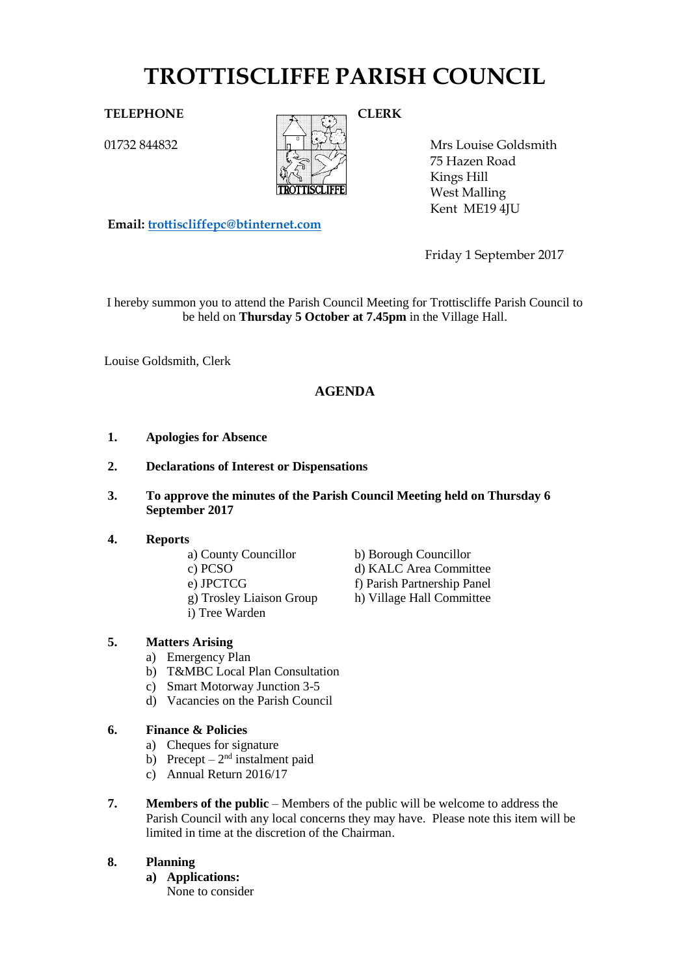# **TROTTISCLIFFE PARISH COUNCIL**

01732 844832



Mrs Louise Goldsmith 75 Hazen Road Kings Hill West Malling Kent ME19 4JU

**Email: [trottiscliffepc@btinternet.com](mailto:trottiscliffepc@btinternet.com)**

Friday 1 September 2017

I hereby summon you to attend the Parish Council Meeting for Trottiscliffe Parish Council to be held on **Thursday 5 October at 7.45pm** in the Village Hall.

Louise Goldsmith, Clerk

# **AGENDA**

- **1. Apologies for Absence**
- **2. Declarations of Interest or Dispensations**
- **3. To approve the minutes of the Parish Council Meeting held on Thursday 6 September 2017**

#### **4. Reports**

- a) County Councillor b) Borough Councillor
- c) PCSO d) KALC Area Committee
- e) JPCTCG f) Parish Partnership Panel
- g) Trosley Liaison Group h) Village Hall Committee
- i) Tree Warden

#### **5. Matters Arising**

- a) Emergency Plan
- b) T&MBC Local Plan Consultation
- c) Smart Motorway Junction 3-5
- d) Vacancies on the Parish Council

## **6. Finance & Policies**

- a) Cheques for signature
- b) Precept  $2<sup>nd</sup>$  instalment paid
- c) Annual Return 2016/17
- **7. Members of the public** Members of the public will be welcome to address the Parish Council with any local concerns they may have. Please note this item will be limited in time at the discretion of the Chairman.

#### **8. Planning**

- **a) Applications:**
	- None to consider